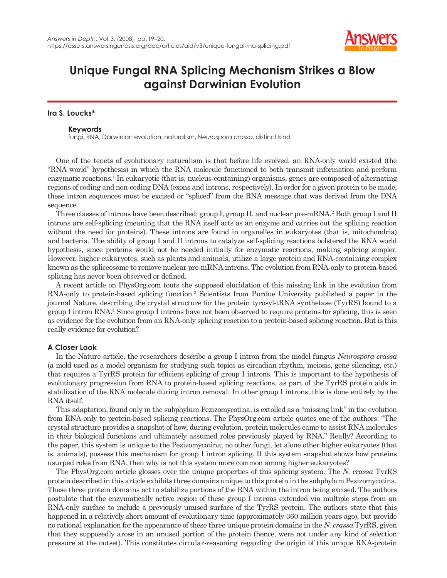

# **Unique Fungal RNA Splicing Mechanism Strikes a Blow against Darwinian Evolution**

## **Ira S. Loucks\***

### **Keywords**

fungi, RNA, Darwinian evolution, naturalism, *Neurospora crassa*, distinct kind

One of the tenets of evolutionary naturalism is that before life evolved, an RNA-only world existed (the "RNA world" hypothesis) in which the RNA molecule functioned to both transmit information and perform enzymatic reactions.<sup>1</sup> In eukaryotic (that is, nucleus-containing) organisms, genes are composed of alternating regions of coding and non-coding DNA (exons and introns, respectively). In order for a given protein to be made, these intron sequences must be excised or "spliced" from the RNA message that was derived from the DNA sequence.

Three classes of introns have been described: group I, group II, and nuclear pre-mRNA.<sup>2</sup> Both group I and II introns are self-splicing (meaning that the RNA itself acts as an enzyme and carries out the splicing reaction without the need for proteins). These introns are found in organelles in eukaryotes (that is, mitochondria) and bacteria. The ability of group I and II introns to catalyze self-splicing reactions bolstered the RNA world hypothesis, since proteins would not be needed initially for enzymatic reactions, making splicing simpler. However, higher eukaryotes, such as plants and animals, utilize a large protein and RNA-containing complex known as the spliceosome to remove nuclear pre-mRNA introns. The evolution from RNA-only to protein-based splicing has never been observed or defined.

A recent article on PhysOrg.com touts the supposed elucidation of this missing link in the evolution from RNA-only to protein-based splicing function.<sup>3</sup> Scientists from Purdue University published a paper in the journal Nature, describing the crystal structure for the protein tyrosyl-tRNA synthetase (TyrRS) bound to a group I intron RNA.4 Since group I introns have not been observed to require proteins for splicing, this is seen as evidence for the evolution from an RNA-only splicing reaction to a protein-based splicing reaction. But is this really evidence for evolution?

## **A Closer Look**

In the Nature article, the researchers describe a group I intron from the model fungus *Neurospora crassa* (a mold used as a model organism for studying such topics as circadian rhythm, meiosis, gene silencing, etc.) that requires a TyrRS protein for efficient splicing of group I introns. This is important to the hypothesis of evolutionary progression from RNA to protein-based splicing reactions, as part of the TyrRS protein aids in stabilization of the RNA molecule during intron removal. In other group I introns, this is done entirely by the RNA itself.

This adaptation, found only in the subphylum Pezizomycotina, is extolled as a "missing link" in the evolution from RNA-only to protein-based splicing reactions. The PhysOrg.com article quotes one of the authors: "The crystal structure provides a snapshot of how, during evolution, protein molecules came to assist RNA molecules in their biological functions and ultimately assumed roles previously played by RNA." Really? According to the paper, this system is unique to the Pezizomycotina; no other fungi, let alone other higher eukaryotes (that is, animals), possess this mechanism for group I intron splicing. If this system snapshot shows how proteins usurped roles from RNA, then why is not this system more common among higher eukaryotes?

The PhysOrg.com article glosses over the unique properties of this splicing system. The *N. crassa* TyrRS protein described in this article exhibits three domains unique to this protein in the subphylum Pezizomycotina. These three protein domains act to stabilize portions of the RNA within the intron being excised. The authors postulate that the enzymatically active region of these group I introns extended via multiple steps from an RNA-only surface to include a previously unused surface of the TyrRS protein. The authors state that this happened in a relatively short amount of evolutionary time (approximately 360 million years ago), but provide no rational explanation for the appearance of these three unique protein domains in the *N. crassa* TyrRS, given that they supposedly arose in an unused portion of the protein (hence, were not under any kind of selection pressure at the outset). This constitutes circular-reasoning regarding the origin of this unique RNA-protein